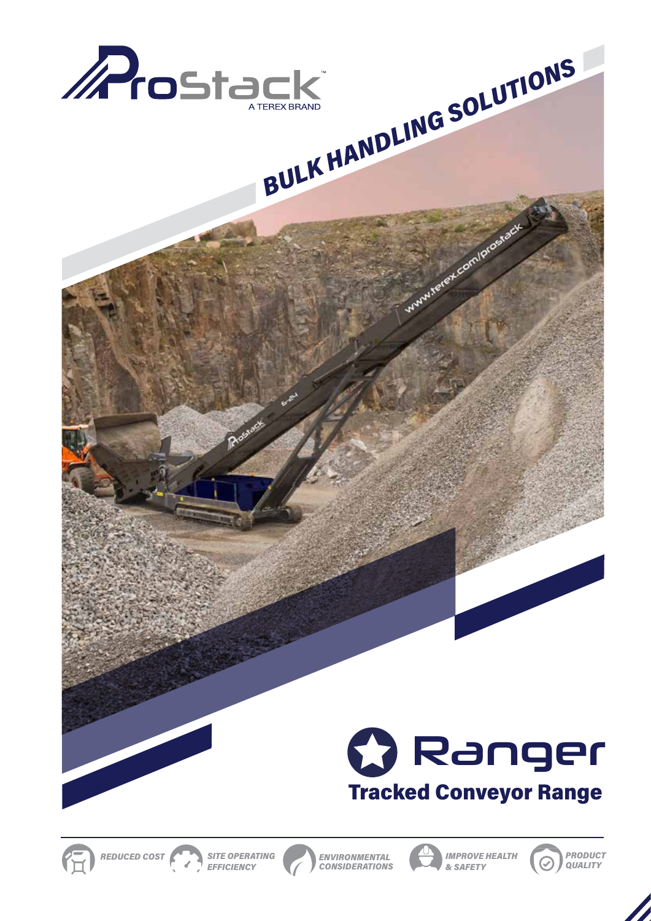

Rosiact



www.rever.com/loroestar









*ENVIRONMENTAL CONSIDERATIONS*





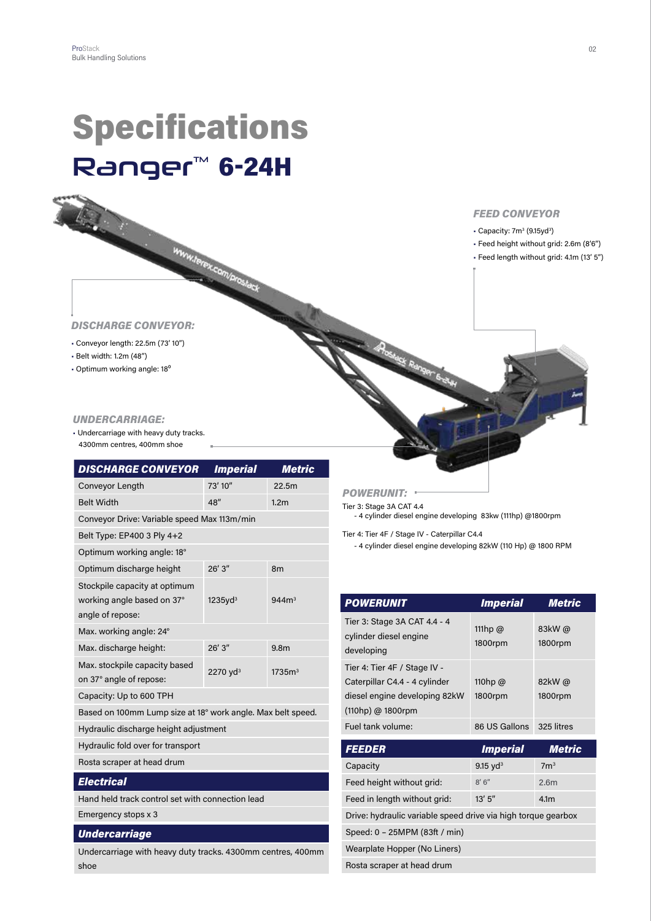# Specifications **Ranger<sup>™</sup> 6-24H**

WWW.Terex.com/prostack



- $\cdot$  Capacity: 7m<sup>3</sup> (9.15yd<sup>3</sup>)
- Feed height without grid: 2.6m (8'6")
- Feed length without grid: 4.1m (13' 5")

#### *DISCHARGE CONVEYOR:*

- Conveyor length: 22.5m (73' 10")
- Belt width: 1.2m (48")
- Optimum working angle: 18<sup>°</sup>

#### *UNDERCARRIAGE:*

• Undercarriage with heavy duty tracks. 4300mm centres, 400mm shoe

| <b>DISCHARGE CONVEYOR</b>                                                       | <b>Imperial</b>      | <b>Metric</b>      |
|---------------------------------------------------------------------------------|----------------------|--------------------|
| Conveyor Length                                                                 | 73' 10"              | 22.5m              |
| <b>Belt Width</b>                                                               | 48"                  | 1.2 <sub>m</sub>   |
| Conveyor Drive: Variable speed Max 113m/min                                     |                      |                    |
| Belt Type: EP400 3 Ply 4+2                                                      |                      |                    |
| Optimum working angle: 18°                                                      |                      |                    |
| Optimum discharge height                                                        | 26'3''               | 8 <sub>m</sub>     |
| Stockpile capacity at optimum<br>working angle based on 37°<br>angle of repose: | 1235yd <sup>3</sup>  | 944m <sup>3</sup>  |
| Max. working angle: 24°                                                         |                      |                    |
| Max. discharge height:                                                          | $26'$ 3"             | 9.8 <sub>m</sub>   |
| Max. stockpile capacity based<br>on 37° angle of repose:                        | 2270 yd <sup>3</sup> | 1735m <sup>3</sup> |
| Capacity: Up to 600 TPH                                                         |                      |                    |
| Based on 100mm Lump size at 18° work angle. Max belt speed.                     |                      |                    |
| Hydraulic discharge height adjustment                                           |                      |                    |
| Hydraulic fold over for transport                                               |                      |                    |
| Rosta scraper at head drum                                                      |                      |                    |
| <b>Electrical</b>                                                               |                      |                    |
| Hand held track control set with connection lead                                |                      |                    |
| Emergency stops x 3                                                             |                      |                    |

#### *Undercarriage*

Undercarriage with heavy duty tracks. 4300mm centres, 400mm shoe

*POWERUNIT:* 

Tier 3: Stage 3A CAT 4.4 - 4 cylinder diesel engine developing 83kw (111hp) @1800rpm

Tier 4: Tier 4F / Stage IV - Caterpillar C4.4

- 4 cylinder diesel engine developing 82kW (110 Hp) @ 1800 RPM

| <b>POWERUNIT</b>                                                                                                    | <i><b>Imperial</b></i>   | <b>Metric</b>     |
|---------------------------------------------------------------------------------------------------------------------|--------------------------|-------------------|
| Tier 3: Stage 3A CAT 4.4 - 4<br>cylinder diesel engine<br>developing                                                | 111hp $@$<br>1800rpm     | 83kW @<br>1800rpm |
| Tier 4: Tier 4F / Stage IV -<br>Caterpillar C4.4 - 4 cylinder<br>diesel engine developing 82kW<br>(110hp) @ 1800rpm | 110hp $@$<br>1800rpm     | 82kW@<br>1800rpm  |
| Fuel tank volume:                                                                                                   | 86 US Gallons 325 litres |                   |
|                                                                                                                     |                          |                   |
| <b>FEEDER</b>                                                                                                       | <b>Imperial</b>          | <b>Metric</b>     |
| Capacity                                                                                                            | 9.15 $yd^3$              | 7 <sup>m3</sup>   |
| Feed height without grid:                                                                                           | 8'6''                    | 2.6m              |
| Feed in length without grid:                                                                                        | 13' 5''                  | 4.1 <sub>m</sub>  |
| Drive: hydraulic variable speed drive via high torque gearbox                                                       |                          |                   |
| Speed: 0 - 25MPM (83ft / min)                                                                                       |                          |                   |
| Wearplate Hopper (No Liners)                                                                                        |                          |                   |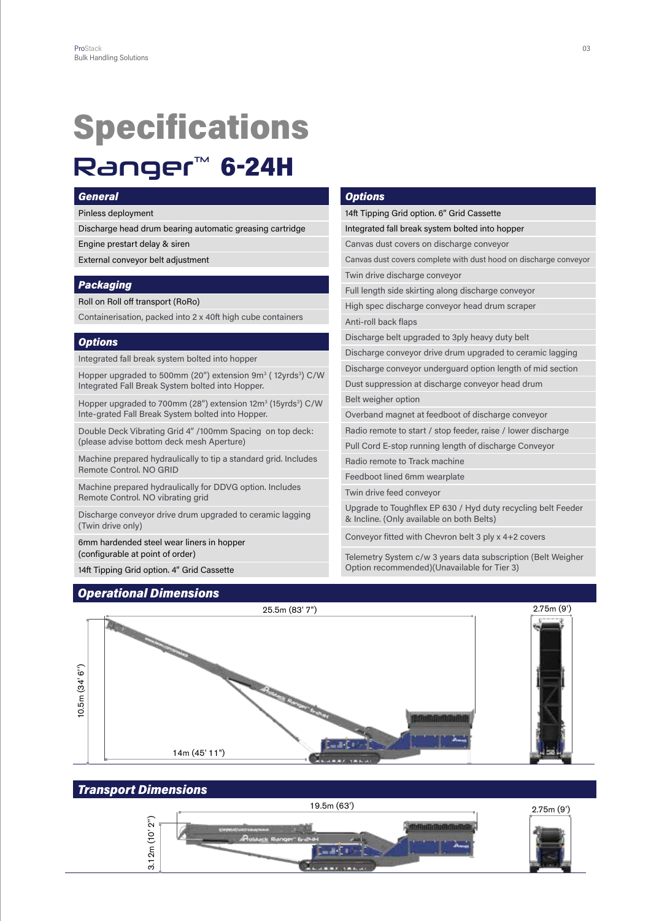### Specifications **Ranger<sup>™</sup> 6-24H**

#### *General*

Pinless deployment

Discharge head drum bearing automatic greasing cartridge

Engine prestart delay & siren

External conveyor belt adjustment

#### *Packaging*

Roll on Roll off transport (RoRo)

Containerisation, packed into 2 x 40ft high cube containers

#### *Options*

Integrated fall break system bolted into hopper

Hopper upgraded to 500mm (20") extension 9m<sup>3</sup> (12yrds<sup>3</sup>) C/W Integrated Fall Break System bolted into Hopper.

Hopper upgraded to 700mm (28") extension 12m<sup>3</sup> (15yrds<sup>3</sup>) C/W Inte-grated Fall Break System bolted into Hopper.

Double Deck Vibrating Grid 4" /100mm Spacing on top deck: (please advise bottom deck mesh Aperture)

Machine prepared hydraulically to tip a standard grid. Includes Remote Control. NO GRID

Machine prepared hydraulically for DDVG option. Includes Remote Control. NO vibrating grid

Discharge conveyor drive drum upgraded to ceramic lagging (Twin drive only)

6mm hardended steel wear liners in hopper (configurable at point of order)

14ft Tipping Grid option. 4" Grid Cassette

#### *Operational Dimensions*

#### *Options*

14ft Tipping Grid option. 6" Grid Cassette Integrated fall break system bolted into hopper Canvas dust covers on discharge conveyor Canvas dust covers complete with dust hood on discharge conveyor Twin drive discharge conveyor Full length side skirting along discharge conveyor High spec discharge conveyor head drum scraper Anti-roll back flaps Discharge belt upgraded to 3ply heavy duty belt Discharge conveyor drive drum upgraded to ceramic lagging Discharge conveyor underguard option length of mid section Dust suppression at discharge conveyor head drum Belt weigher option Overband magnet at feedboot of discharge conveyor Radio remote to start / stop feeder, raise / lower discharge Pull Cord E-stop running length of discharge Conveyor Radio remote to Track machine Feedboot lined 6mm wearplate Twin drive feed conveyor Upgrade to Toughflex EP 630 / Hyd duty recycling belt Feeder & Incline. (Only available on both Belts)

Conveyor fitted with Chevron belt 3 ply x 4+2 covers

Telemetry System c/w 3 years data subscription (Belt Weigher Option recommended)(Unavailable for Tier 3)



#### *Transport Dimensions*

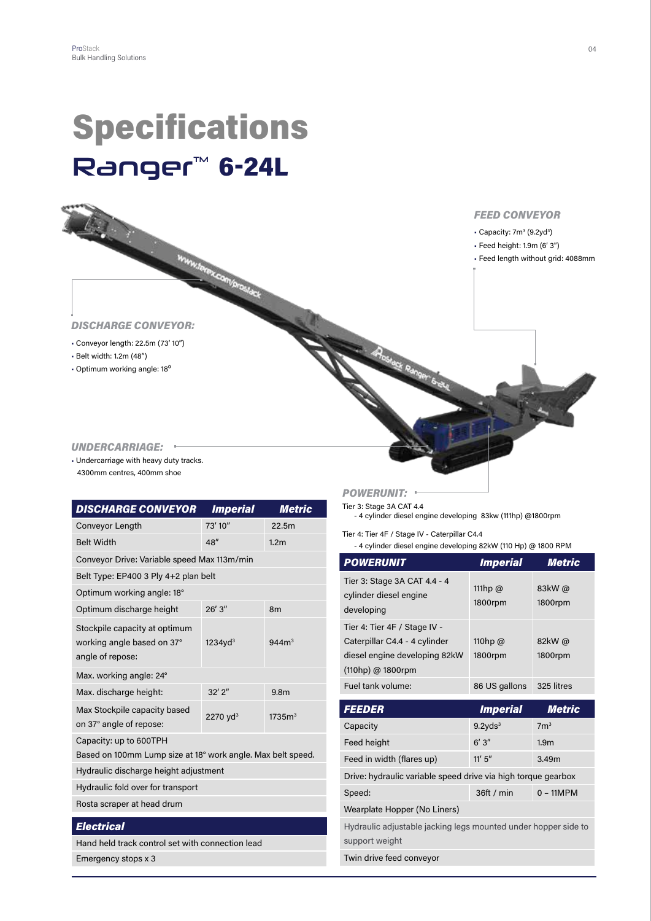# Specifications **Ranger<sup>™</sup> 6-24L**



#### *UNDERCARRIAGE:*

• Undercarriage with heavy duty tracks. 4300mm centres, 400mm shoe

| <b>DISCHARGE CONVEYOR</b>                                                             | <b>Imperial</b>      | <b>Metric</b>      |
|---------------------------------------------------------------------------------------|----------------------|--------------------|
| Conveyor Length                                                                       | 73' 10"              | 22.5m              |
| <b>Belt Width</b>                                                                     | 48''                 | 1.2 <sub>m</sub>   |
| Conveyor Drive: Variable speed Max 113m/min                                           |                      |                    |
| Belt Type: EP400 3 Ply 4+2 plan belt                                                  |                      |                    |
| Optimum working angle: 18°                                                            |                      |                    |
| Optimum discharge height                                                              | 26'3''               | 8 <sub>m</sub>     |
| Stockpile capacity at optimum<br>working angle based on 37°<br>angle of repose:       | 1234yd <sup>3</sup>  | 944m <sup>3</sup>  |
| Max. working angle: 24°                                                               |                      |                    |
| Max. discharge height:                                                                | $32'$ $2''$          | 9.8 <sub>m</sub>   |
| Max Stockpile capacity based<br>on 37° angle of repose:                               | 2270 yd <sup>3</sup> | 1735m <sup>3</sup> |
| Capacity: up to 600TPH<br>Based on 100mm Lump size at 18° work angle. Max belt speed. |                      |                    |
| Hydraulic discharge height adjustment                                                 |                      |                    |
| Hydraulic fold over for transport                                                     |                      |                    |
| Rosta scraper at head drum                                                            |                      |                    |
| <b>Electrical</b>                                                                     |                      |                    |
| Hand held track control set with connection lead                                      |                      |                    |

Emergency stops x 3

#### *POWERUNIT:*

Tier 3: Stage 3A CAT 4.4 - 4 cylinder diesel engine developing 83kw (111hp) @1800rpm

Tier 4: Tier 4F / Stage IV - Caterpillar C4.4

- 4 cylinder diesel engine developing 82kW (110 Hp) @ 1800 RPM

| <b>POWERUNIT</b>                                                                                                    | <b>Imperial</b>           | <b>Metric</b>     |
|---------------------------------------------------------------------------------------------------------------------|---------------------------|-------------------|
| Tier 3: Stage 3A CAT 4.4 - 4<br>cylinder diesel engine<br>developing                                                | 111hp $\omega$<br>1800rpm | 83kW@<br>1800rpm  |
| Tier 4: Tier 4F / Stage IV -<br>Caterpillar C4.4 - 4 cylinder<br>diesel engine developing 82kW<br>(110hp) @ 1800rpm | 110hp $@$<br>1800rpm      | 82kW@<br>1800rpm  |
| Fuel tank volume:                                                                                                   | 86 US gallons             | 325 litres        |
| <b>FEEDER</b>                                                                                                       | <i><b>Imperial</b></i>    | <b>Metric</b>     |
| Capacity                                                                                                            | 9.2yds <sup>3</sup>       | 7 <sup>m3</sup>   |
| Feed height                                                                                                         | 6'3''                     | 1.9 <sub>m</sub>  |
| Feed in width (flares up)                                                                                           | 11' 5''                   | 3.49 <sub>m</sub> |
| Drive: hydraulic variable speed drive via high torque gearbox                                                       |                           |                   |
| Speed:                                                                                                              | 36ft / min                | $0 - 11MPM$       |
| Wearplate Hopper (No Liners)                                                                                        |                           |                   |
| Hydraulic adjustable jacking legs mounted under hopper side to<br>support weight                                    |                           |                   |
| Twin drive feed conveyor                                                                                            |                           |                   |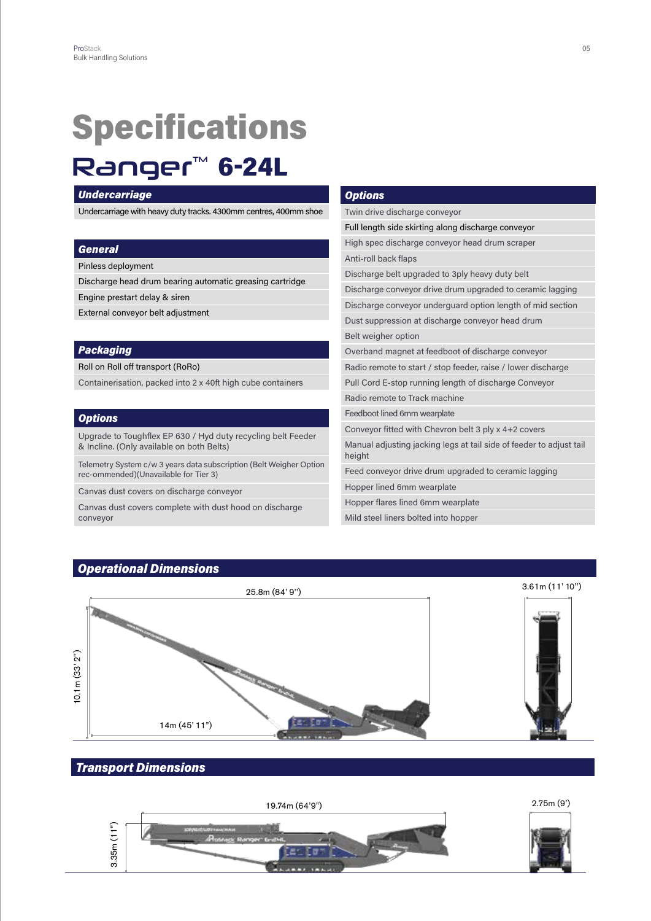# Specifications

### **Ranger™ 6-24L**

#### *Undercarriage*

Undercarriage with heavy duty tracks. 4300mm centres, 400mm shoe

#### *General*

Pinless deployment

Discharge head drum bearing automatic greasing cartridge

Engine prestart delay & siren

External conveyor belt adjustment

#### *Packaging*

Roll on Roll off transport (RoRo)

Containerisation, packed into 2 x 40ft high cube containers

#### *Options*

Upgrade to Toughflex EP 630 / Hyd duty recycling belt Feeder & Incline. (Only available on both Belts)

Telemetry System c/w 3 years data subscription (Belt Weigher Option rec-ommended)(Unavailable for Tier 3)

Canvas dust covers on discharge conveyor

Canvas dust covers complete with dust hood on discharge conveyor

#### *Options*

Twin drive discharge conveyor Full length side skirting along discharge conveyor High spec discharge conveyor head drum scraper Anti-roll back flaps Discharge belt upgraded to 3ply heavy duty belt Discharge conveyor drive drum upgraded to ceramic lagging Discharge conveyor underguard option length of mid section Dust suppression at discharge conveyor head drum Belt weigher option Overband magnet at feedboot of discharge conveyor Radio remote to start / stop feeder, raise / lower discharge Pull Cord E-stop running length of discharge Conveyor Radio remote to Track machine Feedboot lined 6mm wearplate Conveyor fitted with Chevron belt 3 ply x 4+2 covers Manual adjusting jacking legs at tail side of feeder to adjust tail height Feed conveyor drive drum upgraded to ceramic lagging Hopper lined 6mm wearplate Hopper flares lined 6mm wearplate Mild steel liners bolted into hopper



### *Transport Dimensions*

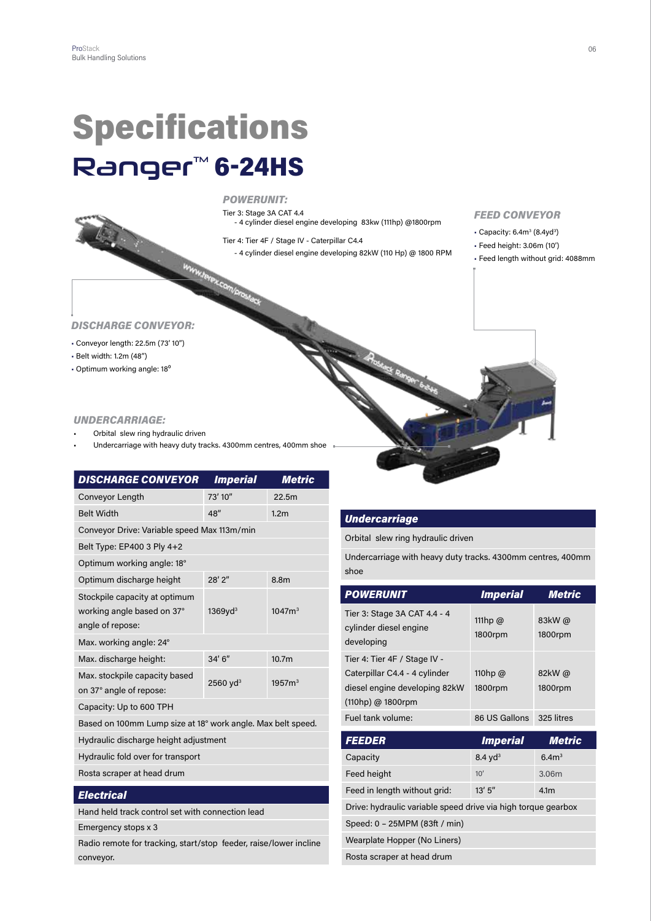# Specifications **Ranger<sup>™</sup> 6-24HS**



Tier 3: Stage 3A CAT 4.4 - 4 cylinder diesel engine developing 83kw (111hp) @1800rpm

Tier 4: Tier 4F / Stage IV - Caterpillar C4.4 - 4 cylinder diesel engine developing 82kW (110 Hp) @ 1800 RPM

#### *FEED CONVEYOR*

- $\cdot$  Capacity: 6.4m<sup>3</sup> (8.4yd<sup>3</sup>)
- Feed height: 3.06m (10')
- Feed length without grid: 4088mm

#### *DISCHARGE CONVEYOR:*

- Conveyor length: 22.5m (73' 10")
- Belt width: 1.2m (48")
- Optimum working angle: 18<sup>°</sup>

#### *UNDERCARRIAGE:*

- Orbital slew ring hydraulic driven
- Undercarriage with heavy duty tracks. 4300mm centres, 400mm shoe

| <b>DISCHARGE CONVEYOR</b>                                                       | <b>Imperial</b>        | Metric             |
|---------------------------------------------------------------------------------|------------------------|--------------------|
| Conveyor Length                                                                 | 73' 10"                | 22.5m              |
| <b>Belt Width</b>                                                               | 48''                   | 1.2 <sub>m</sub>   |
| Conveyor Drive: Variable speed Max 113m/min                                     |                        |                    |
| Belt Type: EP400 3 Ply 4+2                                                      |                        |                    |
| Optimum working angle: 18°                                                      |                        |                    |
| Optimum discharge height                                                        | $28'$ $2''$            | 8.8m               |
| Stockpile capacity at optimum<br>working angle based on 37°<br>angle of repose: | 1369yd <sup>3</sup>    | 1047m <sup>3</sup> |
| Max. working angle: 24°                                                         |                        |                    |
| Max. discharge height:                                                          | 34'6''                 | 10.7m              |
| Max. stockpile capacity based<br>on 37° angle of repose:                        | $2560$ yd <sup>3</sup> | 1957m <sup>3</sup> |
| Capacity: Up to 600 TPH                                                         |                        |                    |
| Based on 100mm Lump size at 18° work angle. Max belt speed.                     |                        |                    |
| Hydraulic discharge height adjustment                                           |                        |                    |
| Hydraulic fold over for transport                                               |                        |                    |
| Rosta scraper at head drum                                                      |                        |                    |
| <b>Electrical</b>                                                               |                        |                    |
| Hand held track control set with connection lead                                |                        |                    |

Emergency stops x 3

Radio remote for tracking, start/stop feeder, raise/lower incline conveyor.

#### *Undercarriage*

Orbital slew ring hydraulic driven

Undercarriage with heavy duty tracks. 4300mm centres, 400mm shoe

| <b>POWERUNIT</b>                                                                                                    | <b>Imperial</b>           | <b>Metric</b>     |
|---------------------------------------------------------------------------------------------------------------------|---------------------------|-------------------|
| Tier 3: Stage 3A CAT 4.4 - 4<br>cylinder diesel engine<br>developing                                                | 111hp $\omega$<br>1800rpm | 83kW @<br>1800rpm |
| Tier 4: Tier 4F / Stage IV -<br>Caterpillar C4.4 - 4 cylinder<br>diesel engine developing 82kW<br>(110hp) @ 1800rpm | 110hp $@$<br>1800rpm      | 82kW@<br>1800rpm  |
| Fuel tank volume:                                                                                                   | 86 US Gallons             | 325 litres        |
|                                                                                                                     |                           |                   |
| <b>FEEDER</b>                                                                                                       | <b>Imperial</b>           | <b>Metric</b>     |
| Capacity                                                                                                            | $8.4$ yd <sup>3</sup>     | 6.4 <sup>3</sup>  |
| Feed height                                                                                                         | 10'                       | 3.06m             |
| Feed in length without grid:                                                                                        | 13' 5''                   | 4.1 <sub>m</sub>  |
| Drive: hydraulic variable speed drive via high torque gearbox                                                       |                           |                   |
| Speed: 0 - 25MPM (83ft / min)                                                                                       |                           |                   |
| Wearplate Hopper (No Liners)                                                                                        |                           |                   |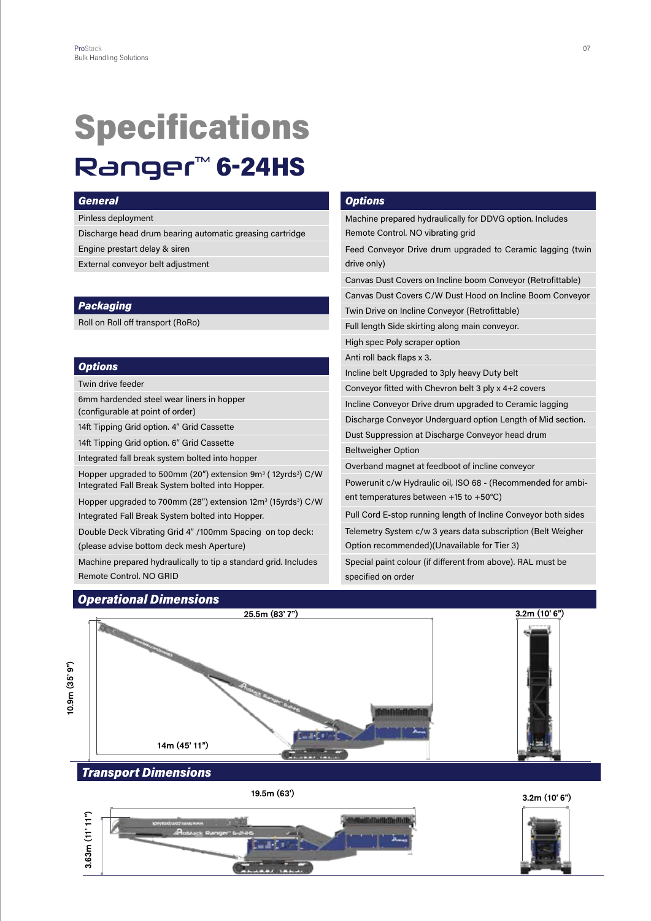### Specifications **Ranger<sup>™</sup> 6-24HS**

#### *General*

Pinless deployment

Discharge head drum bearing automatic greasing cartridge

Engine prestart delay & siren

External conveyor belt adjustment

#### *Packaging*

Roll on Roll off transport (RoRo)

#### *Options*

Twin drive feeder

6mm hardended steel wear liners in hopper (configurable at point of order)

14ft Tipping Grid option. 4" Grid Cassette

14ft Tipping Grid option. 6" Grid Cassette

Integrated fall break system bolted into hopper

Hopper upgraded to 500mm (20") extension 9m<sup>3</sup> (12yrds<sup>3</sup>) C/W Integrated Fall Break System bolted into Hopper.

Hopper upgraded to 700mm (28") extension 12m<sup>3</sup> (15yrds<sup>3</sup>) C/W Integrated Fall Break System bolted into Hopper.

Double Deck Vibrating Grid 4" /100mm Spacing on top deck: (please advise bottom deck mesh Aperture)

Machine prepared hydraulically to tip a standard grid. Includes Remote Control. NO GRID

#### *Options*

Machine prepared hydraulically for DDVG option. Includes Remote Control. NO vibrating grid Feed Conveyor Drive drum upgraded to Ceramic lagging (twin drive only) Canvas Dust Covers on Incline boom Conveyor (Retrofittable) Canvas Dust Covers C/W Dust Hood on Incline Boom Conveyor Twin Drive on Incline Conveyor (Retrofittable) Full length Side skirting along main conveyor. High spec Poly scraper option Anti roll back flaps x 3. Incline belt Upgraded to 3ply heavy Duty belt Conveyor fitted with Chevron belt 3 ply x 4+2 covers Incline Conveyor Drive drum upgraded to Ceramic lagging Discharge Conveyor Underguard option Length of Mid section. Dust Suppression at Discharge Conveyor head drum Beltweigher Option Overband magnet at feedboot of incline conveyor Powerunit c/w Hydraulic oil, ISO 68 - (Recommended for ambient temperatures between +15 to +50°C) Pull Cord E-stop running length of Incline Conveyor both sides

Telemetry System c/w 3 years data subscription (Belt Weigher Option recommended)(Unavailable for Tier 3)

Special paint colour (if different from above). RAL must be specified on order



19.5m (63')



3.2m (10' 6")

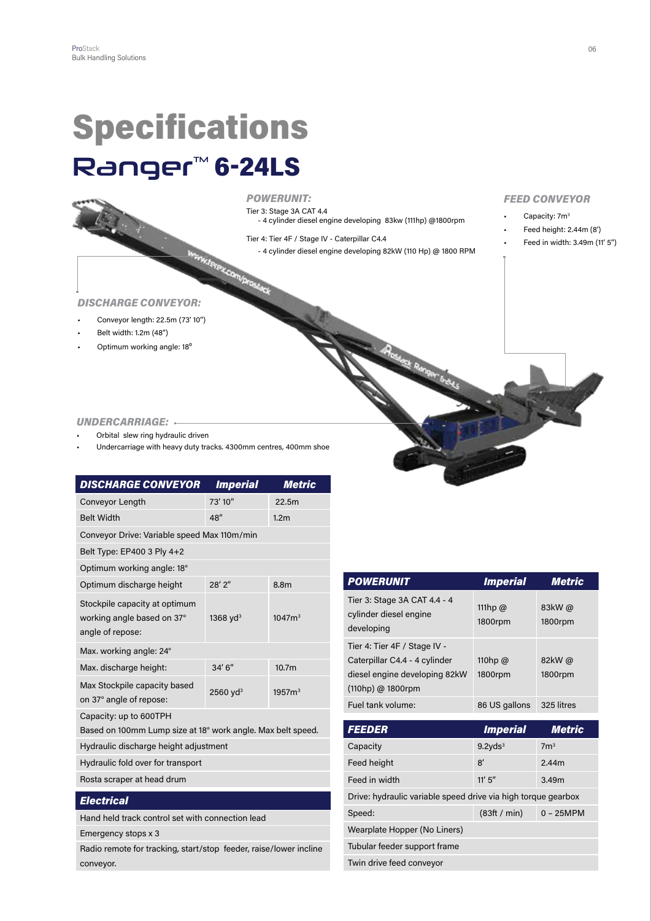### **Specifications Ranger<sup>™</sup> 6-24LS**



#### *POWERUNIT:*

Tier 3: Stage 3A CAT 4.4 - 4 cylinder diesel engine developing 83kw (111hp) @1800rpm

Tier 4: Tier 4F / Stage IV - Caterpillar C4.4<br>- 4 cylinder diesel engine developing 8<br>- 4 cylinder diesel engine developing 8 - 4 cylinder diesel engine developing 82kW (110 Hp) @ 1800 RPM

#### *FEED CONVEYOR*

- Capacity: 7m<sup>3</sup>
- Feed height: 2.44m (8')
- Feed in width: 3.49m (11' 5")

#### *DISCHARGE CONVEYOR:*

- Conveyor length: 22.5m (73' 10")
- Belt width: 1.2m (48")
- Optimum working angle: 18<sup>°</sup>

#### *UNDERCARRIAGE:*

- Orbital slew ring hydraulic driven
- Undercarriage with heavy duty tracks. 4300mm centres, 400mm shoe

| <b>DISCHARGE CONVEYOR</b>                                                       |                 | <b>Metric</b>      |
|---------------------------------------------------------------------------------|-----------------|--------------------|
|                                                                                 | <b>Imperial</b> |                    |
| Conveyor Length                                                                 | 73' 10"         | 22.5m              |
| <b>Belt Width</b>                                                               | 48"             | 1.2 <sub>m</sub>   |
| Conveyor Drive: Variable speed Max 110m/min                                     |                 |                    |
| Belt Type: EP400 3 Ply 4+2                                                      |                 |                    |
| Optimum working angle: 18°                                                      |                 |                    |
| Optimum discharge height                                                        | $28'$ $2''$     | 8.8m               |
| Stockpile capacity at optimum<br>working angle based on 37°<br>angle of repose: | 1368 $yd^3$     | 1047m <sup>3</sup> |
| Max. working angle: 24°                                                         |                 |                    |
| Max. discharge height:                                                          | 34'6''          | 10.7 <sub>m</sub>  |
| Max Stockpile capacity based<br>on 37° angle of repose:                         | 2560 $yd^3$     | 1957m <sup>3</sup> |
| Capacity: up to 600TPH                                                          |                 |                    |
| Based on 100mm Lump size at 18° work angle. Max belt speed.                     |                 |                    |
| Hydraulic discharge height adjustment                                           |                 |                    |
| Hydraulic fold over for transport                                               |                 |                    |
| Rosta scraper at head drum                                                      |                 |                    |
| <b>Electrical</b>                                                               |                 |                    |
| Hand held track control set with connection lead                                |                 |                    |
| Emergency stops x 3                                                             |                 |                    |

Radio remote for tracking, start/stop feeder, raise/lower incline conveyor.

| <b>POWERUNIT</b>                                                                                                      | <b>Imperial</b>           | Metric           |
|-----------------------------------------------------------------------------------------------------------------------|---------------------------|------------------|
| Tier 3: Stage 3A CAT 4.4 - 4<br>cylinder diesel engine<br>developing                                                  | 111hp $\omega$<br>1800rpm | 83kW@<br>1800rpm |
| Tier 4: Tier 4F / Stage IV -<br>Caterpillar C4.4 - 4 cylinder<br>diesel engine developing 82kW<br>$(110hp)$ @ 1800rpm | 110hp $\omega$<br>1800rpm | 82kW@<br>1800rpm |
| Fuel tank volume:                                                                                                     | 86 US gallons             | 325 litres       |
|                                                                                                                       |                           |                  |
| <b>FEEDER</b>                                                                                                         | <i><b>Imperial</b></i>    | Metric           |
| Capacity                                                                                                              | 9.2yds <sup>3</sup>       | 7 <sup>m3</sup>  |
| Feed height                                                                                                           | 8'                        | 2.44m            |
| Feed in width                                                                                                         | $11'$ 5"                  | 3.49m            |
| Drive: hydraulic variable speed drive via high torque gearbox                                                         |                           |                  |
| Speed:                                                                                                                | (83ft / min)              | $0 - 25MPM$      |
| Wearplate Hopper (No Liners)                                                                                          |                           |                  |
| Tubular feeder support frame                                                                                          |                           |                  |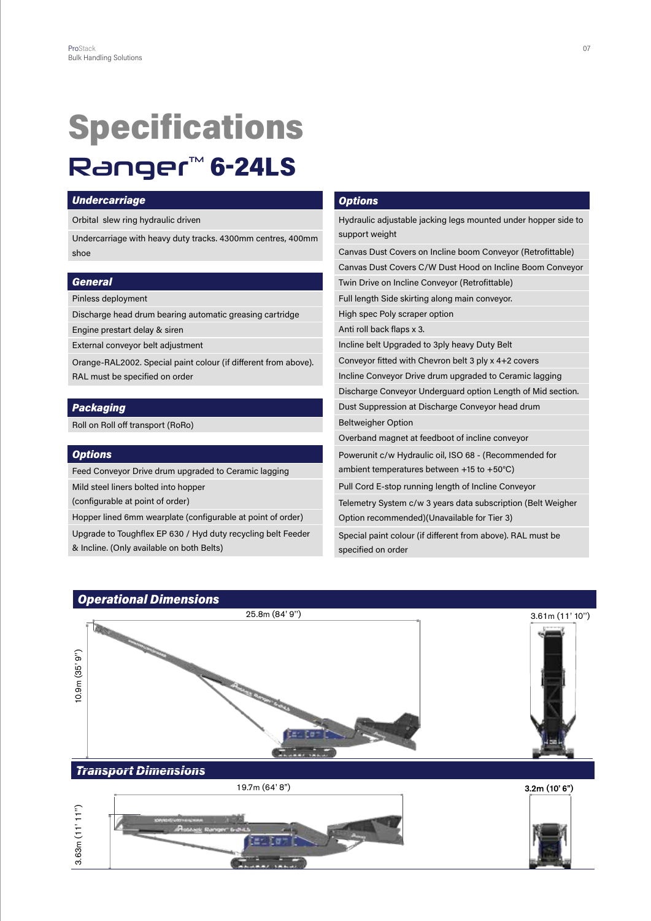### Specifications **Ranger™ 6-24LS**

#### *Undercarriage*

Orbital slew ring hydraulic driven

Undercarriage with heavy duty tracks. 4300mm centres, 400mm shoe

#### *General*

Pinless deployment

Discharge head drum bearing automatic greasing cartridge

Engine prestart delay & siren

External conveyor belt adjustment

Orange-RAL2002. Special paint colour (if different from above). RAL must be specified on order

#### *Packaging*

Roll on Roll off transport (RoRo)

#### *Options*

Feed Conveyor Drive drum upgraded to Ceramic lagging

Mild steel liners bolted into hopper

(configurable at point of order)

Hopper lined 6mm wearplate (configurable at point of order)

Upgrade to Toughflex EP 630 / Hyd duty recycling belt Feeder

#### *Options*

Hydraulic adjustable jacking legs mounted under hopper side to support weight Canvas Dust Covers on Incline boom Conveyor (Retrofittable) Canvas Dust Covers C/W Dust Hood on Incline Boom Conveyor

Twin Drive on Incline Conveyor (Retrofittable)

Full length Side skirting along main conveyor.

High spec Poly scraper option

Anti roll back flaps x 3.

Incline belt Upgraded to 3ply heavy Duty Belt

Conveyor fitted with Chevron belt 3 ply x 4+2 covers

Incline Conveyor Drive drum upgraded to Ceramic lagging

Discharge Conveyor Underguard option Length of Mid section.

Dust Suppression at Discharge Conveyor head drum

Beltweigher Option

Overband magnet at feedboot of incline conveyor

Powerunit c/w Hydraulic oil, ISO 68 - (Recommended for ambient temperatures between +15 to +50°C)

Pull Cord E-stop running length of Incline Conveyor

Telemetry System c/w 3 years data subscription (Belt Weigher Option recommended)(Unavailable for Tier 3)

Special paint colour (if different from above). RAL must be specified on order

### *Operational Dimensions* 25.8m (84' 9'') 3.61m (11' 10'')  $0.9m(35'9")$ 10.9m (35' 9'') *Transport Dimensions* 19.7m (64' 8") 3.2m (10' 6")  $3.63m(11'11'')$ 3.63m (11' 11'')

& Incline. (Only available on both Belts)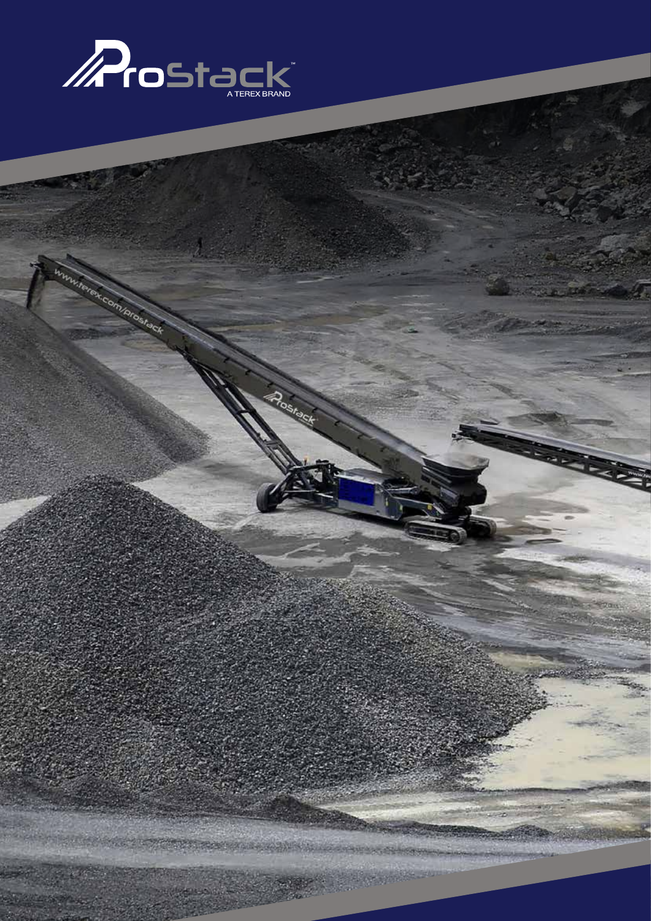

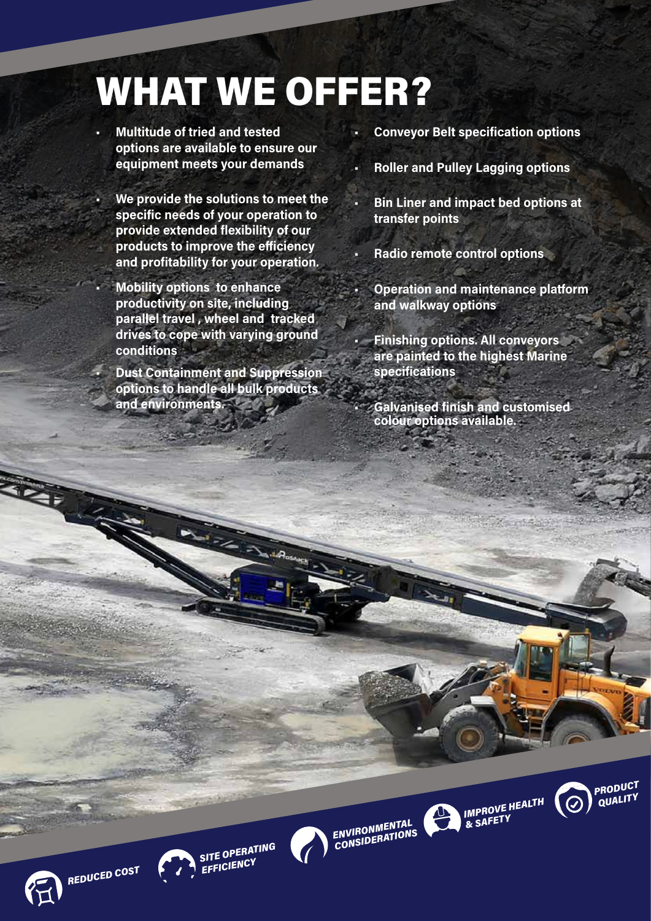# WHAT WE OFFER?

- **• Multitude of tried and tested options are available to ensure our equipment meets your demands**
- **• We provide the solutions to meet the specific needs of your operation to provide extended flexibility of our products to improve the efficiency and profitability for your operation.**
- **• Mobility options to enhance productivity on site, including parallel travel , wheel and tracked drives to cope with varying ground conditions**
- **• Dust Containment and Suppression options to handle all bulk products and environments.**
- **• Conveyor Belt specification options**
- **• Roller and Pulley Lagging options**
- **• Bin Liner and impact bed options at transfer points**
- **• Radio remote control options**
- **• Operation and maintenance platform and walkway options** 
	- **• Finishing options. All conveyors are painted to the highest Marine specifications**
	- **• Galvanised finish and customised colour options available.**







*& SAFETY*

 $\frac{1}{2}$